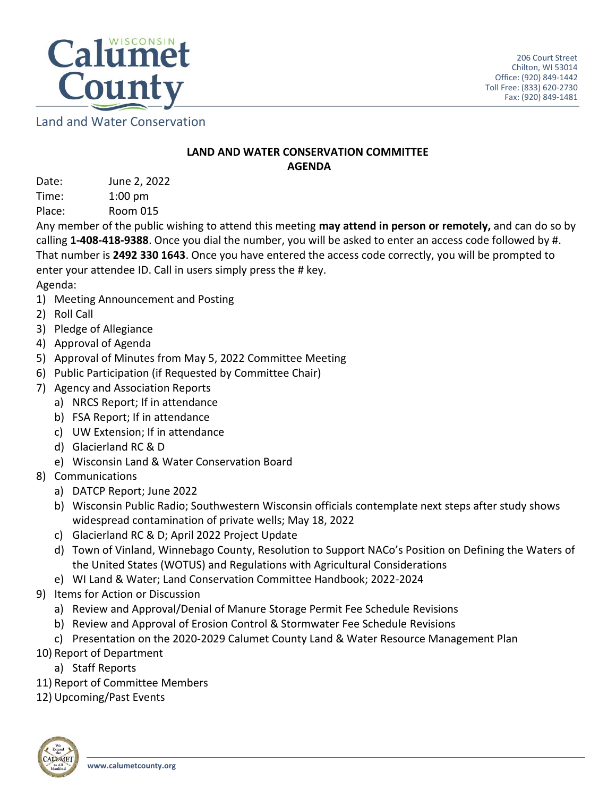

Land and Water Conservation

## **LAND AND WATER CONSERVATION COMMITTEE AGENDA**

Date: June 2, 2022 Time: 1:00 pm

Place: Room 015

Any member of the public wishing to attend this meeting **may attend in person or remotely,** and can do so by calling **1-408-418-9388**. Once you dial the number, you will be asked to enter an access code followed by #. That number is **2492 330 1643**. Once you have entered the access code correctly, you will be prompted to enter your attendee ID. Call in users simply press the # key.

Agenda:

- 1) Meeting Announcement and Posting
- 2) Roll Call
- 3) Pledge of Allegiance
- 4) Approval of Agenda
- 5) Approval of Minutes from May 5, 2022 Committee Meeting
- 6) Public Participation (if Requested by Committee Chair)
- 7) Agency and Association Reports
	- a) NRCS Report; If in attendance
	- b) FSA Report; If in attendance
	- c) UW Extension; If in attendance
	- d) Glacierland RC & D
	- e) Wisconsin Land & Water Conservation Board
- 8) Communications
	- a) DATCP Report; June 2022
	- b) Wisconsin Public Radio; Southwestern Wisconsin officials contemplate next steps after study shows widespread contamination of private wells; May 18, 2022
	- c) Glacierland RC & D; April 2022 Project Update
	- d) Town of Vinland, Winnebago County, Resolution to Support NACo's Position on Defining the Waters of the United States (WOTUS) and Regulations with Agricultural Considerations
	- e) WI Land & Water; Land Conservation Committee Handbook; 2022-2024
- 9) Items for Action or Discussion
	- a) Review and Approval/Denial of Manure Storage Permit Fee Schedule Revisions
	- b) Review and Approval of Erosion Control & Stormwater Fee Schedule Revisions
	- c) Presentation on the 2020-2029 Calumet County Land & Water Resource Management Plan
- 10) Report of Department
	- a) Staff Reports
- 11) Report of Committee Members
- 12) Upcoming/Past Events